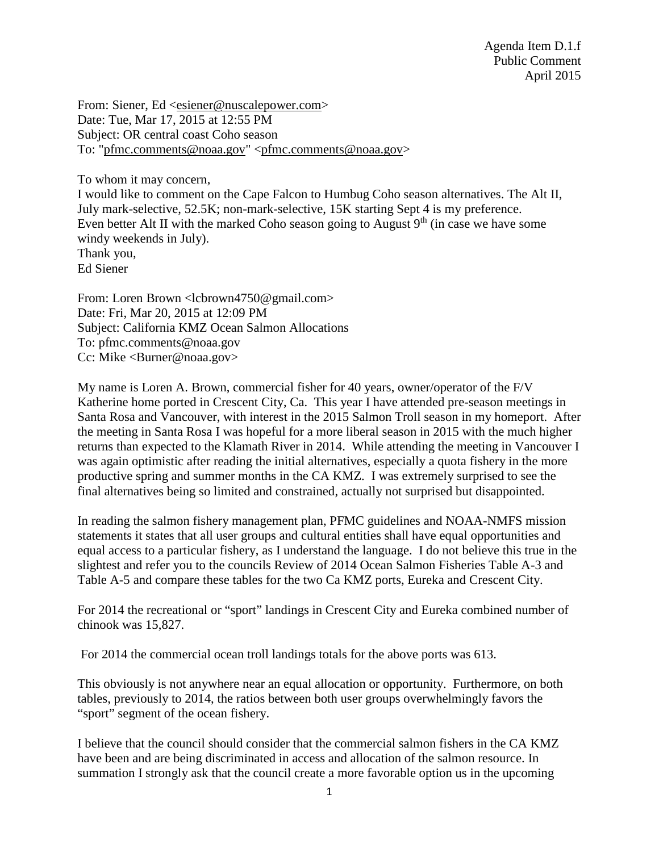Agenda Item D.1.f Public Comment April 2015

From: Siener, Ed [<esiener@nuscalepower.com>](mailto:esiener@nuscalepower.com) Date: Tue, Mar 17, 2015 at 12:55 PM Subject: OR central coast Coho season To: ["pfmc.comments@noaa.gov"](mailto:pfmc.comments@noaa.gov) [<pfmc.comments@noaa.gov>](mailto:pfmc.comments@noaa.gov)

To whom it may concern,

I would like to comment on the Cape Falcon to Humbug Coho season alternatives. The Alt II, July mark-selective, 52.5K; non-mark-selective, 15K starting Sept 4 is my preference. Even better Alt II with the marked Coho season going to August  $9<sup>th</sup>$  (in case we have some windy weekends in July). Thank you, Ed Siener

From: Loren Brown <debrown4750@gmail.com> Date: Fri, Mar 20, 2015 at 12:09 PM Subject: California KMZ Ocean Salmon Allocations To: pfmc.comments@noaa.gov Cc: Mike <Burner@noaa.gov>

My name is Loren A. Brown, commercial fisher for 40 years, owner/operator of the F/V Katherine home ported in Crescent City, Ca. This year I have attended pre-season meetings in Santa Rosa and Vancouver, with interest in the 2015 Salmon Troll season in my homeport. After the meeting in Santa Rosa I was hopeful for a more liberal season in 2015 with the much higher returns than expected to the Klamath River in 2014. While attending the meeting in Vancouver I was again optimistic after reading the initial alternatives, especially a quota fishery in the more productive spring and summer months in the CA KMZ. I was extremely surprised to see the final alternatives being so limited and constrained, actually not surprised but disappointed.

In reading the salmon fishery management plan, PFMC guidelines and NOAA-NMFS mission statements it states that all user groups and cultural entities shall have equal opportunities and equal access to a particular fishery, as I understand the language. I do not believe this true in the slightest and refer you to the councils Review of 2014 Ocean Salmon Fisheries Table A-3 and Table A-5 and compare these tables for the two Ca KMZ ports, Eureka and Crescent City.

For 2014 the recreational or "sport" landings in Crescent City and Eureka combined number of chinook was 15,827.

For 2014 the commercial ocean troll landings totals for the above ports was 613.

This obviously is not anywhere near an equal allocation or opportunity. Furthermore, on both tables, previously to 2014, the ratios between both user groups overwhelmingly favors the "sport" segment of the ocean fishery.

I believe that the council should consider that the commercial salmon fishers in the CA KMZ have been and are being discriminated in access and allocation of the salmon resource. In summation I strongly ask that the council create a more favorable option us in the upcoming